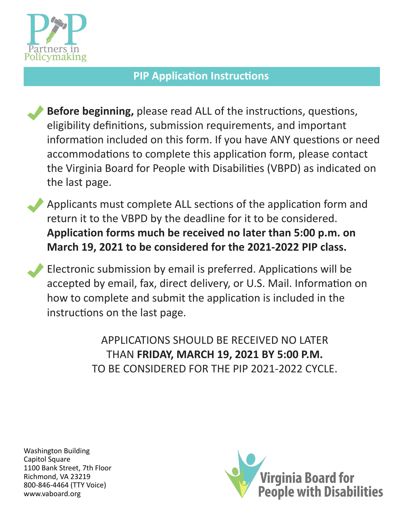

## **PIP Application Instructions**

**Before beginning,** please read ALL of the instructions, questions, eligibility definitions, submission requirements, and important information included on this form. If you have ANY questions or need accommodations to complete this application form, please contact the Virginia Board for People with Disabilities (VBPD) as indicated on the last page.

Applicants must complete ALL sections of the application form and return it to the VBPD by the deadline for it to be considered. **Application forms much be received no later than 5:00 p.m. on March 19, 2021 to be considered for the 2021-2022 PIP class.** 

Electronic submission by email is preferred. Applications will be accepted by email, fax, direct delivery, or U.S. Mail. Information on how to complete and submit the application is included in the instructions on the last page.

> APPLICATIONS SHOULD BE RECEIVED NO LATER THAN **FRIDAY, MARCH 19, 2021 BY 5:00 P.M.**  TO BE CONSIDERED FOR THE PIP 2021-2022 CYCLE.

Washington Building Capitol Square 1100 Bank Street, 7th Floor Richmond, VA 23219 800-846-4464 (TTY Voice) <www.vaboard.org>

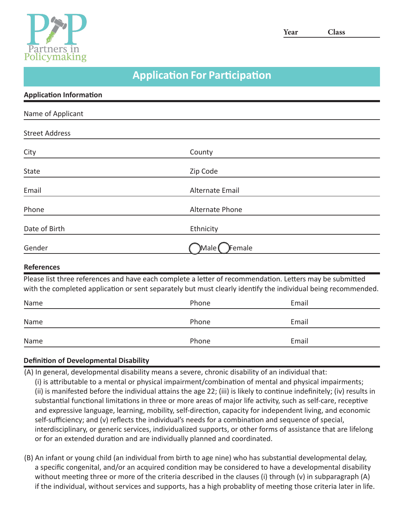

**Year Class** 

## **Application For Participation**

| <b>Application Information</b> |                                                                                                                                                                                                                           |
|--------------------------------|---------------------------------------------------------------------------------------------------------------------------------------------------------------------------------------------------------------------------|
| Name of Applicant              |                                                                                                                                                                                                                           |
| <b>Street Address</b>          |                                                                                                                                                                                                                           |
| City                           | County                                                                                                                                                                                                                    |
| State                          | Zip Code                                                                                                                                                                                                                  |
| Email                          | Alternate Email                                                                                                                                                                                                           |
| Phone                          | Alternate Phone                                                                                                                                                                                                           |
| Date of Birth                  | Ethnicity                                                                                                                                                                                                                 |
| Gender                         | )Male (<br>)Female                                                                                                                                                                                                        |
| <b>References</b>              |                                                                                                                                                                                                                           |
|                                | Please list three references and have each complete a letter of recommendation. Letters may be submitted<br>with the completed application or sent separately but must clearly identify the individual being recommended. |

| Name<br>_______ | Phone | Email |
|-----------------|-------|-------|
| Name            | Phone | Email |
| Name            | Phone | Email |

### **Definition of Developmental Disability**

- (A) In general, developmental disability means a severe, chronic disability of an individual that:
- (i) is attributable to a mental or physical impairment/combination of mental and physical impairments; (ii) is manifested before the individual attains the age 22; (iii) is likely to continue indefinitely; (iv) results in substantial functional limitations in three or more areas of major life activity, such as self-care, receptive and expressive language, learning, mobility, self-direction, capacity for independent living, and economic self-sufficiency; and (v) reflects the individual's needs for a combination and sequence of special, interdisciplinary, or generic services, individualized supports, or other forms of assistance that are lifelong or for an extended duration and are individually planned and coordinated.
- (B) An infant or young child (an individual from birth to age nine) who has substantial developmental delay, a specific congenital, and/or an acquired condition may be considered to have a developmental disability without meeting three or more of the criteria described in the clauses (i) through (v) in subparagraph (A) if the individual, without services and supports, has a high probablity of meeting those criteria later in life.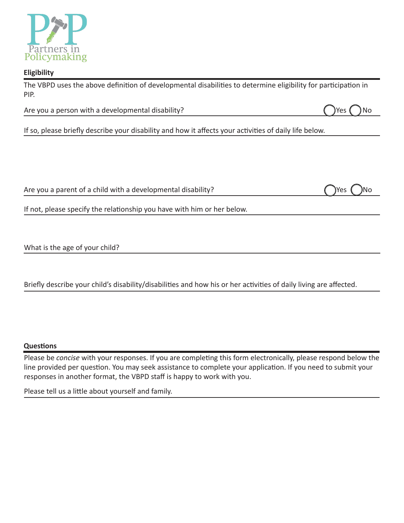

#### **Eligibility**

The VBPD uses the above definition of developmental disabilities to determine eligibility for participation in PIP.

Are you a person with a developmental disability? Are you a person with a developmental disability?

If so, please briefly describe your disability and how it affects your activities of daily life below.

Are you a parent of a child with a developmental disability?

| ÌYes | )No |
|------|-----|

If not, please specify the relationship you have with him or her below.

What is the age of your child?

Briefly describe your child's disability/disabilities and how his or her activities of daily living are affected.

#### **Questions**

Please be *concise* with your responses. If you are completing this form electronically, please respond below the line provided per question. You may seek assistance to complete your application. If you need to submit your responses in another format, the VBPD staff is happy to work with you.

Please tell us a little about yourself and family.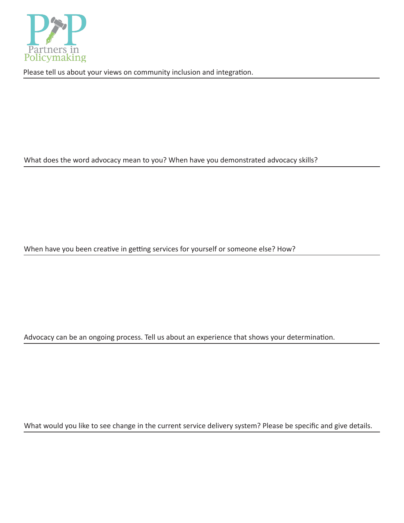

Please tell us about your views on community inclusion and integration.

What does the word advocacy mean to you? When have you demonstrated advocacy skills?

When have you been creative in getting services for yourself or someone else? How?

Advocacy can be an ongoing process. Tell us about an experience that shows your determination.

What would you like to see change in the current service delivery system? Please be specific and give details.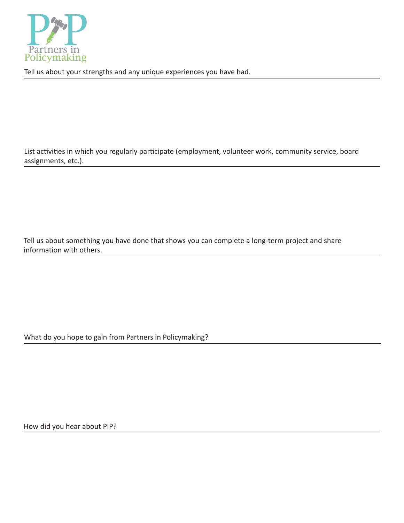

Tell us about your strengths and any unique experiences you have had.

List activities in which you regularly participate (employment, volunteer work, community service, board assignments, etc.).

Tell us about something you have done that shows you can complete a long-term project and share information with others.

What do you hope to gain from Partners in Policymaking?

How did you hear about PIP?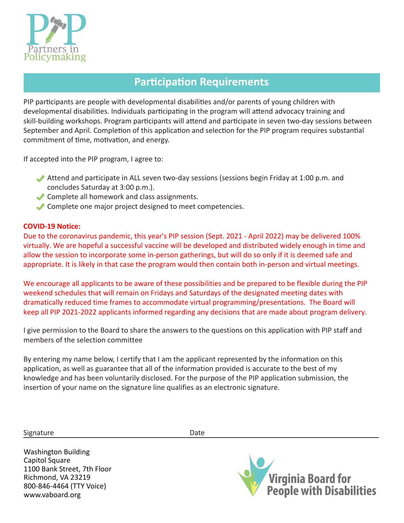

## **Participation Requirements**

PIP participants are people with developmental disabilities and/or parents of young children with developmental disabilities. Individuals participating in the program will attend advocacy training and skill-building workshops. Program participants will attend and participate in seven two-day sessions between September and April. Completion of this application and selection for the PIP program requires substantial commitment of time, motivation, and energy.

If accepted into the PIP program, I agree to:

- Attend and participate in ALL seven two-day sessions (sessions begin Friday at 1:00 p.m. and concludes Saturday at 3:00 p.m.).
- Complete all homework and class assignments.
- Complete one major project designed to meet competencies.

#### **COVID-19 Notice:**

Due to the coronavirus pandemic, this year's PIP session (Sept. 2021 - April 2022) may be delivered 100% virtually. We are hopeful a successful vaccine will be developed and distributed widely enough in time and allow the session to incorporate some in-person gatherings, but will do so only if it is deemed safe and appropriate. It is likely in that case the program would then contain both in-person and virtual meetings.

We encourage all applicants to be aware of these possibilities and be prepared to be flexible during the PIP weekend schedules that will remain on Fridays and Saturdays of the designated meeting dates with dramatically reduced time frames to accommodate virtual programming/presentations. The Board will keep all PIP 2021-2022 applicants informed regarding any decisions that are made about program delivery.

I give permission to the Board to share the answers to the questions on this application with PIP staff and members of the selection committee

By entering my name below, I certify that I am the applicant represented by the information on this application, as well as guarantee that all of the information provided is accurate to the best of my knowledge and has been voluntarily disclosed. For the purpose of the PIP application submission, the insertion of your name on the signature line qualifies as an electronic signature.

Signature Date Date

Washington Building Capitol Square 1100 Bank Street, 7th Floor Richmond, VA 23219 800-846-4464 (TTY Voice) <www.vaboard.org>

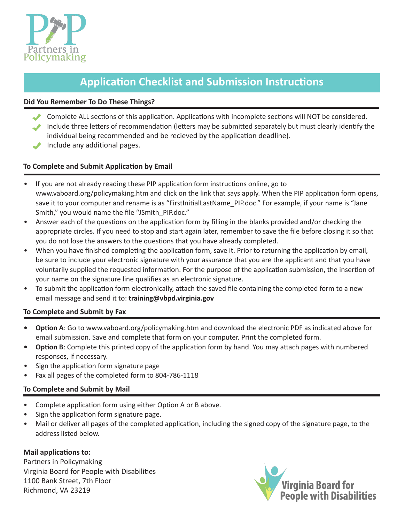

## **Application Checklist and Submission Instructions**

#### **Did You Remember To Do These Things?**

- Complete ALL sections of this application. Applications with incomplete sections will NOT be considered. Include three letters of recommendation (letters may be submitted separately but must clearly identify the
- individual being recommended and be recieved by the application deadline).
- Include any additional pages.

#### **To Complete and Submit Application by Email**

- If you are not already reading these PIP application form instructions online, go to <www.vaboard.org/policymaking.htm> and click on the link that says apply. When the PIP application form opens, save it to your computer and rename is as "FirstInitialLastName\_PIP.doc." For example, if your name is "Jane Smith," you would name the file "JSmith\_PIP.doc."
- Answer each of the questions on the application form by filling in the blanks provided and/or checking the appropriate circles. If you need to stop and start again later, remember to save the file before closing it so that you do not lose the answers to the questions that you have already completed.
- When you have finished completing the application form, save it. Prior to returning the application by email, be sure to include your electronic signature with your assurance that you are the applicant and that you have voluntarily supplied the requested information. For the purpose of the application submission, the insertion of your name on the signature line qualifies as an electronic signature.
- To submit the application form electronically, attach the saved file containing the completed form to a new email message and send it to: **[training@vbpd.virginia.gov](mailto:training@vbpd.virginia.gov)**

#### **To Complete and Submit by Fax**

- **• Option A**: Go to <www.vaboard.org/policymaking.htm>and download the electronic PDF as indicated above for email submission. Save and complete that form on your computer. Print the completed form.
- **• Option B**: Complete this printed copy of the application form by hand. You may attach pages with numbered responses, if necessary.
- Sign the application form signature page
- Fax all pages of the completed form to 804-786-1118

#### **To Complete and Submit by Mail**

- Complete application form using either Option A or B above.
- Sign the application form signature page.
- Mail or deliver all pages of the completed application, including the signed copy of the signature page, to the address listed below.

#### **Mail applications to:**

Partners in Policymaking Virginia Board for People with Disabilities 1100 Bank Street, 7th Floor Richmond, VA 23219